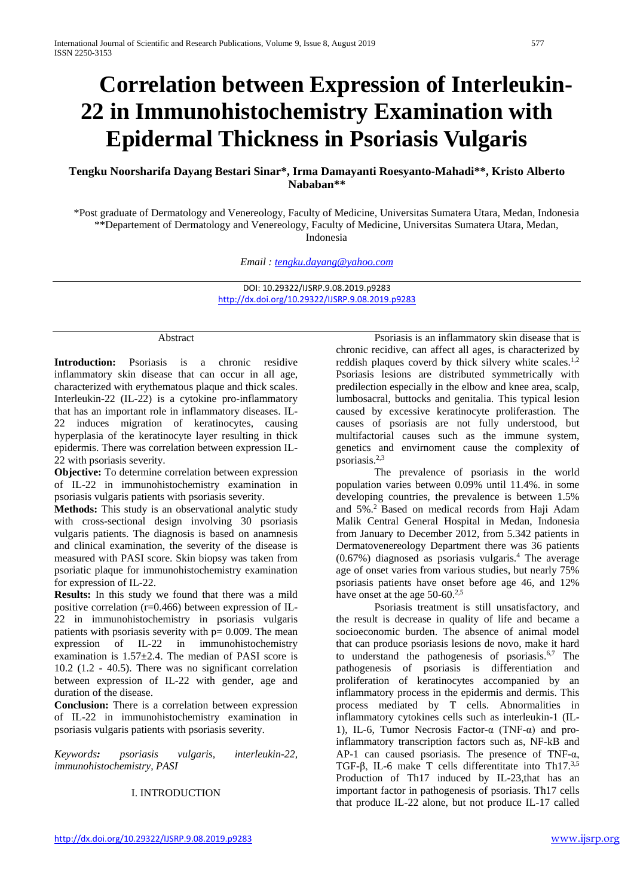# **Correlation between Expression of Interleukin-22 in Immunohistochemistry Examination with Epidermal Thickness in Psoriasis Vulgaris**

# **Tengku Noorsharifa Dayang Bestari Sinar\*, Irma Damayanti Roesyanto-Mahadi\*\*, Kristo Alberto Nababan\*\***

\*Post graduate of Dermatology and Venereology, Faculty of Medicine, Universitas Sumatera Utara, Medan, Indonesia \*\*Departement of Dermatology and Venereology, Faculty of Medicine, Universitas Sumatera Utara, Medan, Indonesia

*Email : [tengku.dayang@yahoo.com](mailto:tengku.dayang@yahoo.com)*

DOI: 10.29322/IJSRP.9.08.2019.p9283 <http://dx.doi.org/10.29322/IJSRP.9.08.2019.p9283>

#### Abstract

**Introduction:** Psoriasis is a chronic residive inflammatory skin disease that can occur in all age, characterized with erythematous plaque and thick scales. Interleukin-22 (IL-22) is a cytokine pro-inflammatory that has an important role in inflammatory diseases. IL-22 induces migration of keratinocytes, causing hyperplasia of the keratinocyte layer resulting in thick epidermis. There was correlation between expression IL-22 with psoriasis severity.

**Objective:** To determine correlation between expression of IL-22 in immunohistochemistry examination in psoriasis vulgaris patients with psoriasis severity.

**Methods:** This study is an observational analytic study with cross-sectional design involving 30 psoriasis vulgaris patients. The diagnosis is based on anamnesis and clinical examination, the severity of the disease is measured with PASI score. Skin biopsy was taken from psoriatic plaque for immunohistochemistry examination for expression of IL-22.

**Results:** In this study we found that there was a mild positive correlation (r=0.466) between expression of IL-22 in immunohistochemistry in psoriasis vulgaris patients with psoriasis severity with  $p= 0.009$ . The mean expression of IL-22 in immunohistochemistry examination is  $1.57 \pm 2.4$ . The median of PASI score is 10.2 (1.2 - 40.5). There was no significant correlation between expression of IL-22 with gender, age and duration of the disease.

**Conclusion:** There is a correlation between expression of IL-22 in immunohistochemistry examination in psoriasis vulgaris patients with psoriasis severity.

*Keywords: psoriasis vulgaris, interleukin-22, immunohistochemistry, PASI*

# I. INTRODUCTION

Psoriasis is an inflammatory skin disease that is chronic recidive, can affect all ages, is characterized by reddish plaques coverd by thick silvery white scales.<sup>1,2</sup> Psoriasis lesions are distributed symmetrically with predilection especially in the elbow and knee area, scalp, lumbosacral, buttocks and genitalia. This typical lesion caused by excessive keratinocyte proliferastion. The causes of psoriasis are not fully understood, but multifactorial causes such as the immune system, genetics and envirnoment cause the complexity of psoriasis.2,3

The prevalence of psoriasis in the world population varies between 0.09% until 11.4%. in some developing countries, the prevalence is between 1.5% and 5%.2 Based on medical records from Haji Adam Malik Central General Hospital in Medan, Indonesia from January to December 2012, from 5.342 patients in Dermatovenereology Department there was 36 patients  $(0.67%)$  diagnosed as psoriasis vulgaris.<sup>4</sup> The average age of onset varies from various studies, but nearly 75% psoriasis patients have onset before age 46, and 12% have onset at the age 50-60.<sup>2,5</sup>

Psoriasis treatment is still unsatisfactory, and the result is decrease in quality of life and became a socioeconomic burden. The absence of animal model that can produce psoriasis lesions de novo, make it hard to understand the pathogenesis of psoriasis.6,7 The pathogenesis of psoriasis is differentiation and proliferation of keratinocytes accompanied by an inflammatory process in the epidermis and dermis. This process mediated by T cells. Abnormalities in inflammatory cytokines cells such as interleukin-1 (IL-1), IL-6, Tumor Necrosis Factor-α (TNF-α) and proinflammatory transcription factors such as, NF-kB and AP-1 can caused psoriasis. The presence of TNF-α, TGF-β, IL-6 make T cells differentitate into Th17.3,5 Production of Th17 induced by IL-23,that has an important factor in pathogenesis of psoriasis. Th17 cells that produce IL-22 alone, but not produce IL-17 called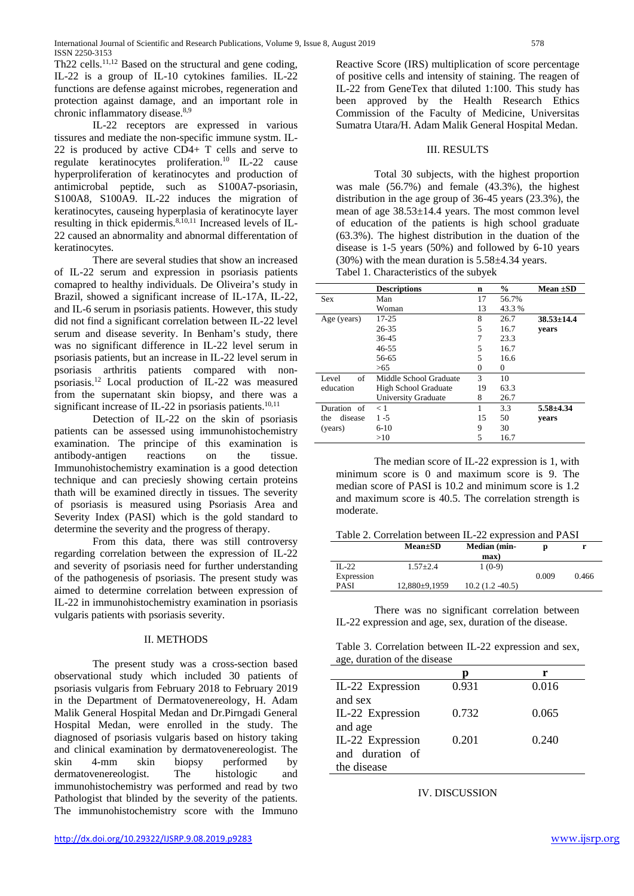Th22 cells.<sup>11,12</sup> Based on the structural and gene coding, IL-22 is a group of IL-10 cytokines families. IL-22 functions are defense against microbes, regeneration and protection against damage, and an important role in chronic inflammatory disease.<sup>8,9</sup>

IL-22 receptors are expressed in various tissures and mediate the non-specific immune systm. IL-22 is produced by active CD4+ T cells and serve to regulate keratinocytes proliferation.10 IL-22 cause hyperproliferation of keratinocytes and production of antimicrobal peptide, such as S100A7-psoriasin, S100A8, S100A9. IL-22 induces the migration of keratinocytes, causeing hyperplasia of keratinocyte layer resulting in thick epidermis.<sup>8,10,11</sup> Increased levels of IL-22 caused an abnormality and abnormal differentation of keratinocytes.

There are several studies that show an increased of IL-22 serum and expression in psoriasis patients comapred to healthy individuals. De Oliveira's study in Brazil, showed a significant increase of IL-17A, IL-22, and IL-6 serum in psoriasis patients. However, this study did not find a significant correlation between IL-22 level serum and disease severity. In Benham's study, there was no significant difference in IL-22 level serum in psoriasis patients, but an increase in IL-22 level serum in psoriasis arthritis patients compared with nonpsoriasis.12 Local production of IL-22 was measured from the supernatant skin biopsy, and there was a significant increase of IL-22 in psoriasis patients.<sup>10,11</sup>

Detection of IL-22 on the skin of psoriasis patients can be assessed using immunohistochemistry examination. The principe of this examination is antibody-antigen reactions on the tissue. Immunohistochemistry examination is a good detection technique and can preciesly showing certain proteins thath will be examined directly in tissues. The severity of psoriasis is measured using Psoriasis Area and Severity Index (PASI) which is the gold standard to determine the severity and the progress of therapy.

From this data, there was still controversy regarding correlation between the expression of IL-22 and severity of psoriasis need for further understanding of the pathogenesis of psoriasis. The present study was aimed to determine correlation between expression of IL-22 in immunohistochemistry examination in psoriasis vulgaris patients with psoriasis severity.

#### II. METHODS

The present study was a cross-section based observational study which included 30 patients of psoriasis vulgaris from February 2018 to February 2019 in the Department of Dermatovenereology, H. Adam Malik General Hospital Medan and Dr.Pirngadi General Hospital Medan, were enrolled in the study. The diagnosed of psoriasis vulgaris based on history taking and clinical examination by dermatovenereologist. The skin 4-mm skin biopsy performed by<br>dermatovenereologist. The histologic and dermatovenereologist. The histologic and immunohistochemistry was performed and read by two Pathologist that blinded by the severity of the patients. The immunohistochemistry score with the Immuno

Reactive Score (IRS) multiplication of score percentage of positive cells and intensity of staining. The reagen of IL-22 from GeneTex that diluted 1:100. This study has been approved by the Health Research Ethics Commission of the Faculty of Medicine, Universitas Sumatra Utara/H. Adam Malik General Hospital Medan.

#### III. RESULTS

Total 30 subjects, with the highest proportion was male (56.7%) and female (43.3%), the highest distribution in the age group of 36-45 years (23.3%), the mean of age 38.53±14.4 years. The most common level of education of the patients is high school graduate (63.3%). The highest distribution in the duation of the disease is 1-5 years (50%) and followed by 6-10 years  $(30\%)$  with the mean duration is  $5.58\pm4.34$  years. Tabel 1. Characteristics of the subyek

|                | <b>Descriptions</b>        | n      | $\frac{0}{0}$ | Mean $\pm SD$    |
|----------------|----------------------------|--------|---------------|------------------|
| <b>Sex</b>     | Man                        | 17     | 56.7%         |                  |
|                | Woman                      | 13     | 43.3 %        |                  |
| Age (years)    | $17 - 25$                  | 8      | 26.7          | $38.53 \pm 14.4$ |
|                | $26 - 35$                  | 5      | 16.7          | vears            |
|                | $36 - 45$                  |        | 23.3          |                  |
|                | $46 - 55$                  | 5      | 16.7          |                  |
|                | 56-65                      | 5      | 16.6          |                  |
|                | >65                        | $^{0}$ | $\Omega$      |                  |
| Level<br>of    | Middle School Graduate     | 3      | 10            |                  |
| education      | High School Graduate       | 19     | 63.3          |                  |
|                | <b>University Graduate</b> | 8      | 26.7          |                  |
| Duration of    | < 1                        |        | 3.3           | $5.58 + 4.34$    |
| disease<br>the | $1 - 5$                    | 15     | 50            | vears            |
| (years)        | $6-10$                     | 9      | 30            |                  |
|                | >10                        | 5      | 16.7          |                  |

The median score of IL-22 expression is 1, with minimum score is 0 and maximum score is 9. The median score of PASI is 10.2 and minimum score is 1.2 and maximum score is 40.5. The correlation strength is moderate.

|  |  | Table 2. Correlation between IL-22 expression and PASI |
|--|--|--------------------------------------------------------|
|--|--|--------------------------------------------------------|

|             | $Mean \pm SD$     | Median (min-     | D     |       |
|-------------|-------------------|------------------|-------|-------|
|             |                   | max)             |       |       |
| $II - 22$   | $1.57 + 2.4$      | $1(0-9)$         |       |       |
| Expression  |                   |                  | 0.009 | 0.466 |
| <b>PASI</b> | $12.880\pm9.1959$ | $10.2(1.2-40.5)$ |       |       |
|             |                   |                  |       |       |

There was no significant correlation between IL-22 expression and age, sex, duration of the disease.

Table 3. Correlation between IL-22 expression and sex, age, duration of the disease

|                  |       | r     |
|------------------|-------|-------|
| IL-22 Expression | 0.931 | 0.016 |
| and sex          |       |       |
| IL-22 Expression | 0.732 | 0.065 |
| and age          |       |       |
| IL-22 Expression | 0.201 | 0.240 |
| and duration of  |       |       |
| the disease      |       |       |

IV. DISCUSSION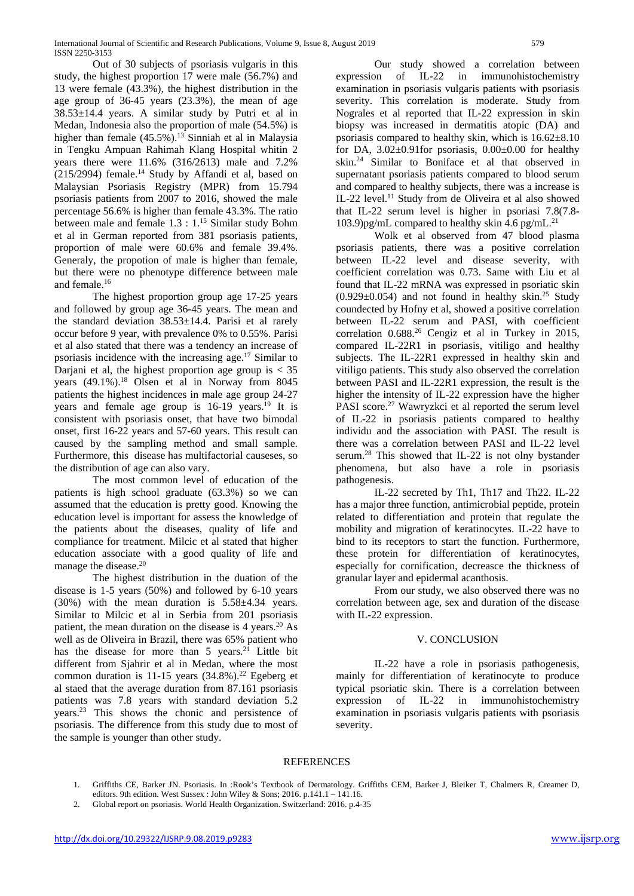Out of 30 subjects of psoriasis vulgaris in this study, the highest proportion 17 were male (56.7%) and 13 were female (43.3%), the highest distribution in the age group of 36-45 years (23.3%), the mean of age  $38.53 \pm 14.4$  years. A similar study by Putri et al in Medan, Indonesia also the proportion of male (54.5%) is higher than female (45.5%).<sup>13</sup> Sinniah et al in Malaysia in Tengku Ampuan Rahimah Klang Hospital whitin 2 years there were 11.6% (316/2613) male and 7.2%  $(215/2994)$  female.<sup>14</sup> Study by Affandi et al, based on Malaysian Psoriasis Registry (MPR) from 15.794 psoriasis patients from 2007 to 2016, showed the male percentage 56.6% is higher than female 43.3%. The ratio between male and female 1.3 : 1.15 Similar study Bohm et al in German reported from 381 psoriasis patients, proportion of male were 60.6% and female 39.4%. Generaly, the propotion of male is higher than female, but there were no phenotype difference between male and female.16

The highest proportion group age 17-25 years and followed by group age 36-45 years. The mean and the standard deviation  $38.53 \pm 14.4$ . Parisi et al rarely occur before 9 year, with prevalence 0% to 0.55%. Parisi et al also stated that there was a tendency an increase of psoriasis incidence with the increasing age. <sup>17</sup> Similar to Dariani et al, the highest proportion age group is  $<$  35 years (49.1%).<sup>18</sup> Olsen et al in Norway from 8045 patients the highest incidences in male age group 24-27 years and female age group is  $16-19$  years.<sup>19</sup> It is consistent with psoriasis onset, that have two bimodal onset, first 16-22 years and 57-60 years. This result can caused by the sampling method and small sample. Furthermore, this disease has multifactorial causeses, so the distribution of age can also vary.

The most common level of education of the patients is high school graduate (63.3%) so we can assumed that the education is pretty good. Knowing the education level is important for assess the knowledge of the patients about the diseases, quality of life and compliance for treatment. Milcic et al stated that higher education associate with a good quality of life and manage the disease.<sup>20</sup>

The highest distribution in the duation of the disease is 1-5 years (50%) and followed by 6-10 years  $(30\%)$  with the mean duration is  $5.58\pm4.34$  years. Similar to Milcic et al in Serbia from 201 psoriasis patient, the mean duration on the disease is 4 years.<sup>20</sup> As well as de Oliveira in Brazil, there was 65% patient who has the disease for more than  $5$  years.<sup>21</sup> Little bit different from Sjahrir et al in Medan, where the most common duration is 11-15 years  $(34.8\%)$ .<sup>22</sup> Egeberg et al staed that the average duration from 87.161 psoriasis patients was 7.8 years with standard deviation 5.2 years.23 This shows the chonic and persistence of psoriasis. The difference from this study due to most of the sample is younger than other study.

Our study showed a correlation between expression of IL-22 in immunohistochemistry examination in psoriasis vulgaris patients with psoriasis severity. This correlation is moderate. Study from Nograles et al reported that IL-22 expression in skin biopsy was increased in dermatitis atopic (DA) and psoriasis compared to healthy skin, which is  $16.62 \pm 8.10$ for DA,  $3.02 \pm 0.91$  for psoriasis,  $0.00 \pm 0.00$  for healthy skin.24 Similar to Boniface et al that observed in supernatant psoriasis patients compared to blood serum and compared to healthy subjects, there was a increase is IL-22 level. <sup>11</sup> Study from de Oliveira et al also showed that IL-22 serum level is higher in psoriasi 7.8(7.8- 103.9)pg/mL compared to healthy skin 4.6 pg/mL. $^{21}$ 

Wolk et al observed from 47 blood plasma psoriasis patients, there was a positive correlation between IL-22 level and disease severity, with coefficient correlation was 0.73. Same with Liu et al found that IL-22 mRNA was expressed in psoriatic skin  $(0.929\pm0.054)$  and not found in healthy skin.<sup>25</sup> Study coundected by Hofny et al, showed a positive correlation between IL-22 serum and PASI, with coefficient correlation  $0.688<sup>26</sup>$  Cengiz et al in Turkey in 2015, compared IL-22R1 in psoriasis, vitiligo and healthy subjects. The IL-22R1 expressed in healthy skin and vitiligo patients. This study also observed the correlation between PASI and IL-22R1 expression, the result is the higher the intensity of IL-22 expression have the higher PASI score.<sup>27</sup> Wawryzkci et al reported the serum level of IL-22 in psoriasis patients compared to healthy individu and the association with PASI. The result is there was a correlation between PASI and IL-22 level serum.28 This showed that IL-22 is not olny bystander phenomena, but also have a role in psoriasis pathogenesis.

IL-22 secreted by Th1, Th17 and Th22. IL-22 has a major three function, antimicrobial peptide, protein related to differentiation and protein that regulate the mobility and migration of keratinocytes. IL-22 have to bind to its receptors to start the function. Furthermore, these protein for differentiation of keratinocytes, especially for cornification, decreasce the thickness of granular layer and epidermal acanthosis.

From our study, we also observed there was no correlation between age, sex and duration of the disease with IL-22 expression.

## V. CONCLUSION

IL-22 have a role in psoriasis pathogenesis, mainly for differentiation of keratinocyte to produce typical psoriatic skin. There is a correlation between expression of IL-22 in immunohistochemistry examination in psoriasis vulgaris patients with psoriasis severity.

## **REFERENCES**

- 1. Griffiths CE, Barker JN. Psoriasis. In :Rook's Textbook of Dermatology. Griffiths CEM, Barker J, Bleiker T, Chalmers R, Creamer D, editors. 9th edition. West Sussex : John Wiley & Sons; 2016. p.141.1 – 141.16.
- 2. Global report on psoriasis. World Health Organization. Switzerland: 2016. p.4-35